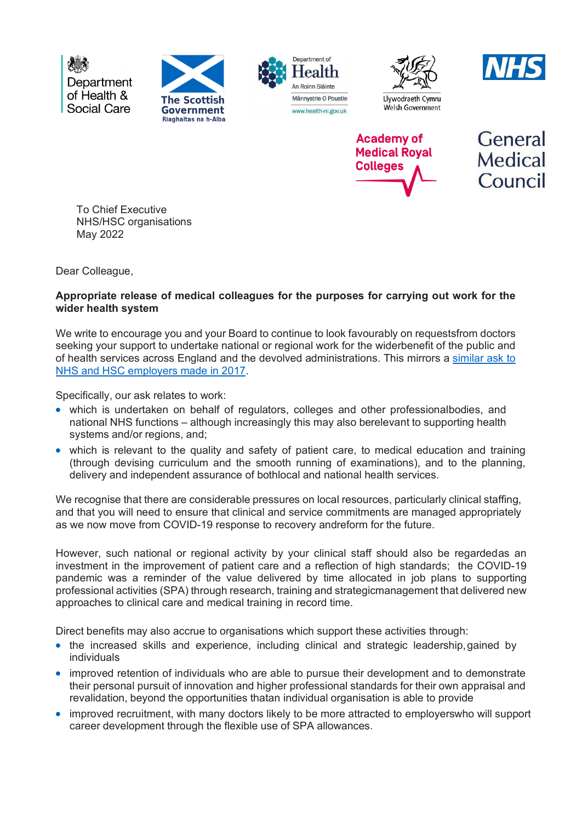Department of Health & Social Care











General **Medical** Council

To Chief Executive NHS/HSC organisations May 2022

Dear Colleague,

## **Appropriate release of medical colleagues for the purposes for carrying out work for the wider health system**

We write to encourage you and your Board to continue to look favourably on requestsfrom doctors seeking your support to undertake national or regional work for the widerbenefit of the public and of health services across England and the devolved administrations. This mirrors a [similar ask to](https://www.aomrc.org.uk/wp-content/uploads/2017/08/070717_CMO_letter_wider_NHS_work-2.pdf)  [NHS and HSC employers made in 2017.](https://www.aomrc.org.uk/wp-content/uploads/2017/08/070717_CMO_letter_wider_NHS_work-2.pdf)

Specifically, our ask relates to work:

- which is undertaken on behalf of regulators, colleges and other professionalbodies, and national NHS functions – although increasingly this may also berelevant to supporting health systems and/or regions, and;
- which is relevant to the quality and safety of patient care, to medical education and training (through devising curriculum and the smooth running of examinations), and to the planning, delivery and independent assurance of bothlocal and national health services.

We recognise that there are considerable pressures on local resources, particularly clinical staffing, and that you will need to ensure that clinical and service commitments are managed appropriately as we now move from COVID-19 response to recovery andreform for the future.

However, such national or regional activity by your clinical staff should also be regardedas an investment in the improvement of patient care and a reflection of high standards; the COVID-19 pandemic was a reminder of the value delivered by time allocated in job plans to supporting professional activities (SPA) through research, training and strategicmanagement that delivered new approaches to clinical care and medical training in record time.

Direct benefits may also accrue to organisations which support these activities through:

- the increased skills and experience, including clinical and strategic leadership,gained by individuals
- improved retention of individuals who are able to pursue their development and to demonstrate their personal pursuit of innovation and higher professional standards for their own appraisal and revalidation, beyond the opportunities thatan individual organisation is able to provide
- improved recruitment, with many doctors likely to be more attracted to employerswho will support career development through the flexible use of SPA allowances.